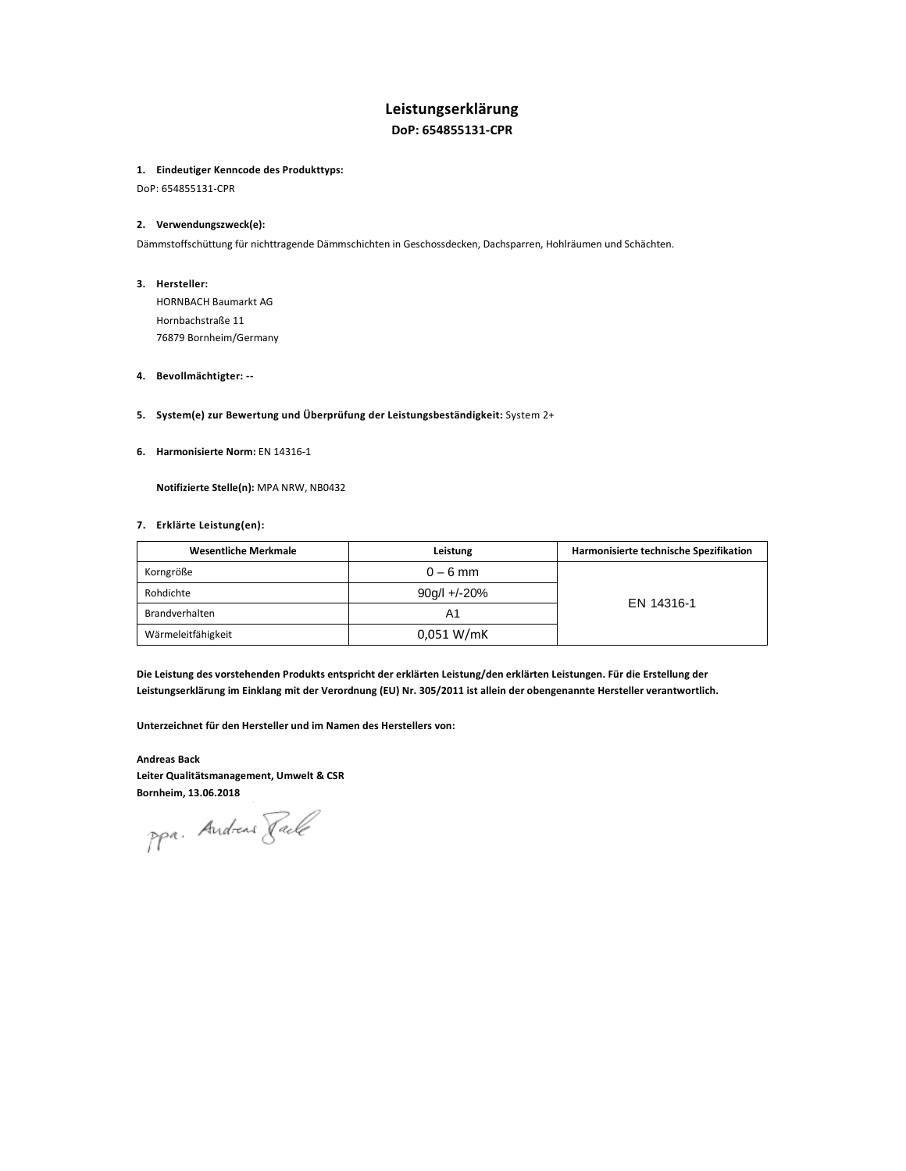# **Leistungserklärung DoP: 654855131-CPR**

### **1. Eindeutiger Kenncode des Produkttyps:**

DoP: 654855131-CPR

# **2. Verwendungszweck(e):**

Dämmstoffschüttung für nichttragende Dämmschichten in Geschossdecken, Dachsparren, Hohlräumen und Schächten.

**3. Hersteller:** 

HORNBACH Baumarkt AG Hornbachstraße 11 76879 Bornheim/Germany

# **4. Bevollmächtigter: --**

- **5. System(e) zur Bewertung und Überprüfung der Leistungsbeständigkeit:** System 2+
- **6. Harmonisierte Norm:** EN 14316-1

 **Notifizierte Stelle(n):** MPA NRW, NB0432

#### **7. Erklärte Leistung(en):**

| Wesentliche Merkmale | Leistung     | Harmonisierte technische Spezifikation |
|----------------------|--------------|----------------------------------------|
| Korngröße            | $0 - 6$ mm   |                                        |
| Rohdichte            | 90g/l +/-20% | EN 14316-1                             |
| Brandverhalten       | A1           |                                        |
| Wärmeleitfähigkeit   | 0.051 W/mK   |                                        |

**Die Leistung des vorstehenden Produkts entspricht der erklärten Leistung/den erklärten Leistungen. Für die Erstellung der Leistungserklärung im Einklang mit der Verordnung (EU) Nr. 305/2011 ist allein der obengenannte Hersteller verantwortlich.** 

**Unterzeichnet für den Hersteller und im Namen des Herstellers von:** 

**Andreas Back Leiter Qualitätsmanagement, Umwelt & CSR Bornheim, 13.06.2018** 

ppa. Andreas Rack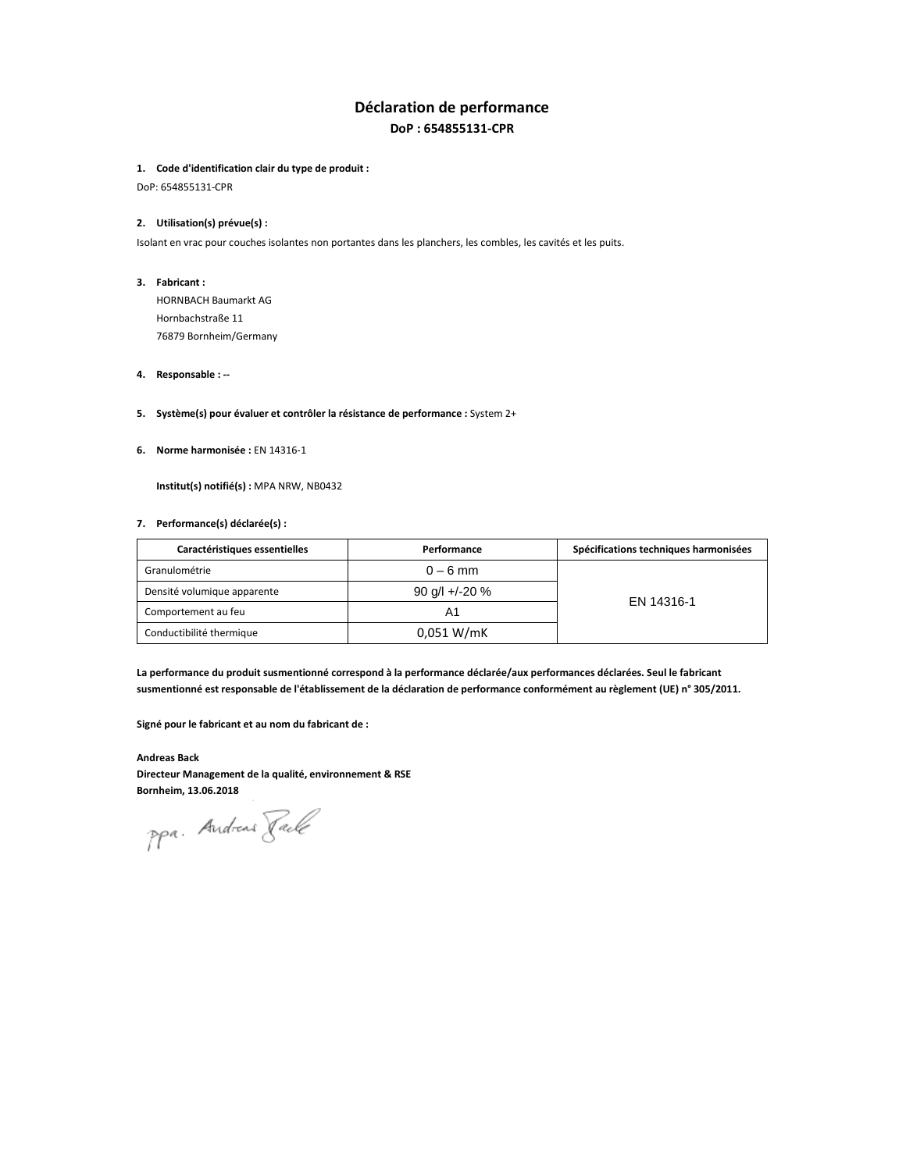# **Déclaration de performance DoP : 654855131-CPR**

### **1. Code d'identification clair du type de produit :**

DoP: 654855131-CPR

### **2. Utilisation(s) prévue(s) :**

Isolant en vrac pour couches isolantes non portantes dans les planchers, les combles, les cavités et les puits.

**3. Fabricant :** 

HORNBACH Baumarkt AG Hornbachstraße 11 76879 Bornheim/Germany

#### **4. Responsable : --**

#### **5. Système(s) pour évaluer et contrôler la résistance de performance :** System 2+

**6. Norme harmonisée :** EN 14316-1

**Institut(s) notifié(s) :** MPA NRW, NB0432

# **7. Performance(s) déclarée(s) :**

| Caractéristiques essentielles | Performance      | Spécifications techniques harmonisées |
|-------------------------------|------------------|---------------------------------------|
| Granulométrie                 | $0 - 6$ mm       |                                       |
| Densité volumique apparente   | 90 g/l +/-20 $%$ |                                       |
| Comportement au feu           | A1               | EN 14316-1                            |
| Conductibilité thermique      | 0.051 W/mK       |                                       |

**La performance du produit susmentionné correspond à la performance déclarée/aux performances déclarées. Seul le fabricant susmentionné est responsable de l'établissement de la déclaration de performance conformément au règlement (UE) n° 305/2011.** 

**Signé pour le fabricant et au nom du fabricant de :**

**Andreas Back Directeur Management de la qualité, environnement & RSE Bornheim, 13.06.2018** 

ppa. Andreas Rack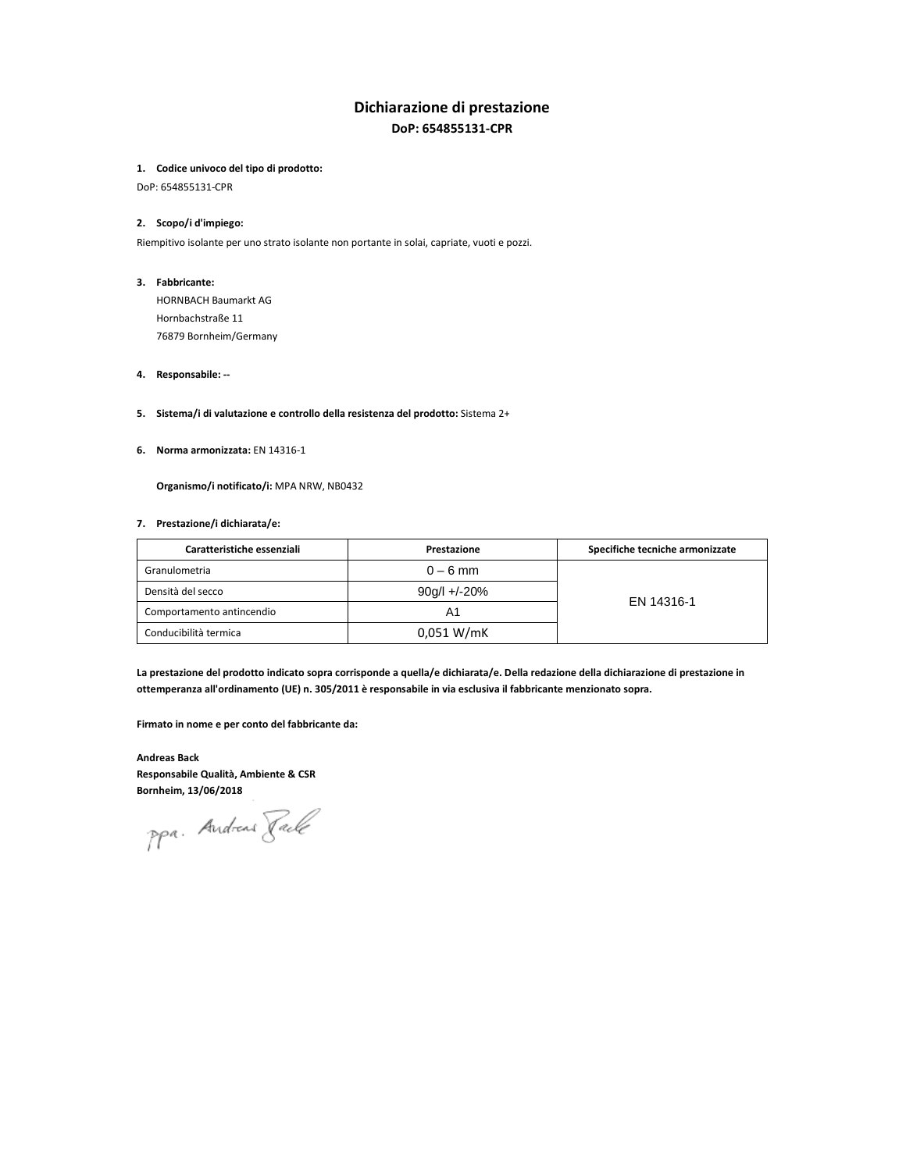# **Dichiarazione di prestazione DoP: 654855131-CPR**

#### **1. Codice univoco del tipo di prodotto:**

DoP: 654855131-CPR

# **2. Scopo/i d'impiego:**

Riempitivo isolante per uno strato isolante non portante in solai, capriate, vuoti e pozzi.

#### **3. Fabbricante:**

HORNBACH Baumarkt AG Hornbachstraße 11 76879 Bornheim/Germany

#### **4. Responsabile: --**

# **5. Sistema/i di valutazione e controllo della resistenza del prodotto:** Sistema 2+

**6. Norma armonizzata:** EN 14316-1

**Organismo/i notificato/i:** MPA NRW, NB0432

### **7. Prestazione/i dichiarata/e:**

| Caratteristiche essenziali | Prestazione      | Specifiche tecniche armonizzate |
|----------------------------|------------------|---------------------------------|
| Granulometria              | $0 - 6$ mm       |                                 |
| Densità del secco          | $90q/1 + (-20%)$ |                                 |
| Comportamento antincendio  | Α1               | EN 14316-1                      |
| Conducibilità termica      | 0.051 W/mK       |                                 |

**La prestazione del prodotto indicato sopra corrisponde a quella/e dichiarata/e. Della redazione della dichiarazione di prestazione in ottemperanza all'ordinamento (UE) n. 305/2011 è responsabile in via esclusiva il fabbricante menzionato sopra.** 

**Firmato in nome e per conto del fabbricante da:** 

**Andreas Back Responsabile Qualità, Ambiente & CSR Bornheim, 13/06/2018** 

ppa. Andreas Rack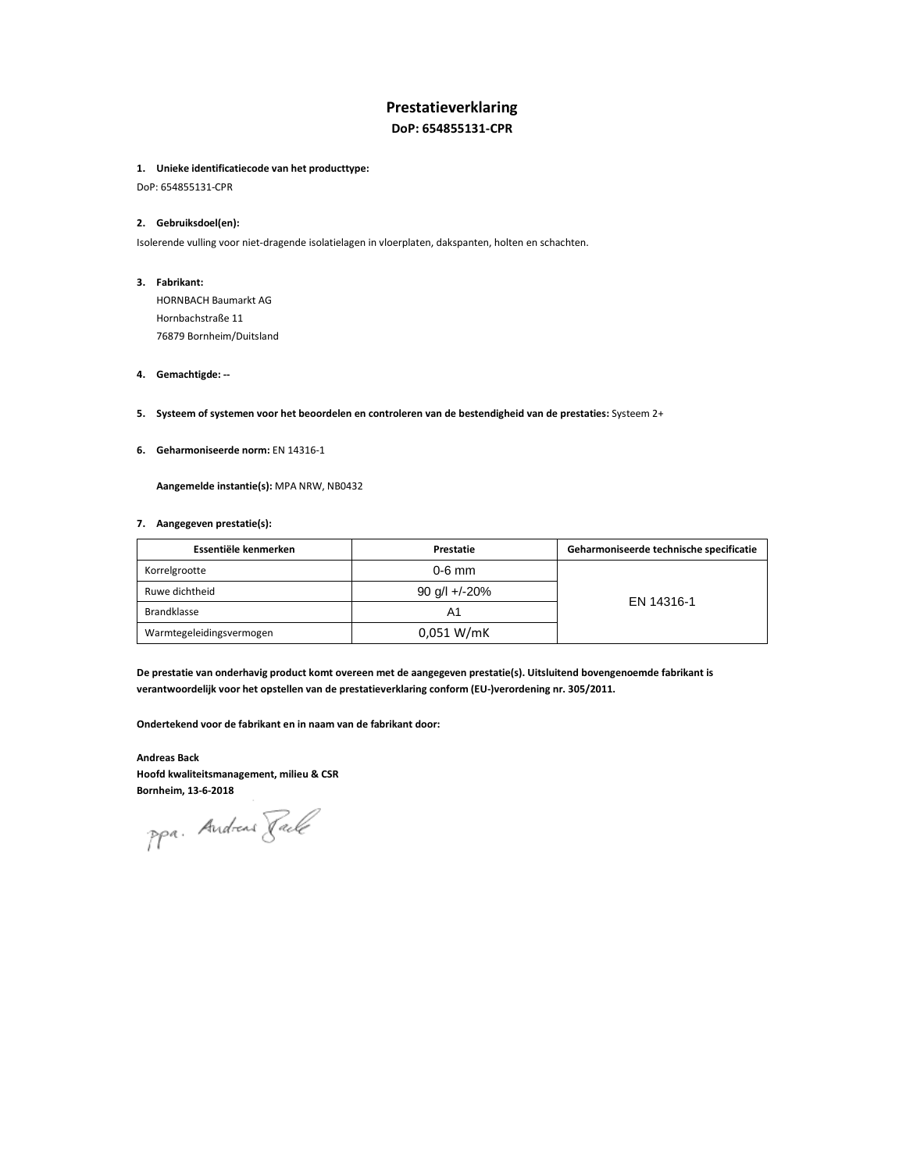# **Prestatieverklaring**

**DoP: 654855131-CPR**

### **1. Unieke identificatiecode van het producttype:**

DoP: 654855131-CPR

# **2. Gebruiksdoel(en):**

Isolerende vulling voor niet-dragende isolatielagen in vloerplaten, dakspanten, holten en schachten.

#### **3. Fabrikant:**

HORNBACH Baumarkt AG Hornbachstraße 11 76879 Bornheim/Duitsland

#### **4. Gemachtigde: --**

- **5. Systeem of systemen voor het beoordelen en controleren van de bestendigheid van de prestaties:** Systeem 2+
- **6. Geharmoniseerde norm:** EN 14316-1

**Aangemelde instantie(s):** MPA NRW, NB0432

### **7. Aangegeven prestatie(s):**

| Essentiële kenmerken     | Prestatie     | Geharmoniseerde technische specificatie |
|--------------------------|---------------|-----------------------------------------|
| Korrelgrootte            | 0-6 mm        |                                         |
| Ruwe dichtheid           | 90 g/l +/-20% | EN 14316-1                              |
| <b>Brandklasse</b>       | Α1            |                                         |
| Warmtegeleidingsvermogen | 0.051 W/mK    |                                         |

**De prestatie van onderhavig product komt overeen met de aangegeven prestatie(s). Uitsluitend bovengenoemde fabrikant is verantwoordelijk voor het opstellen van de prestatieverklaring conform (EU-)verordening nr. 305/2011.** 

**Ondertekend voor de fabrikant en in naam van de fabrikant door:** 

**Andreas Back Hoofd kwaliteitsmanagement, milieu & CSR Bornheim, 13-6-2018** 

ppa. Andreas Rack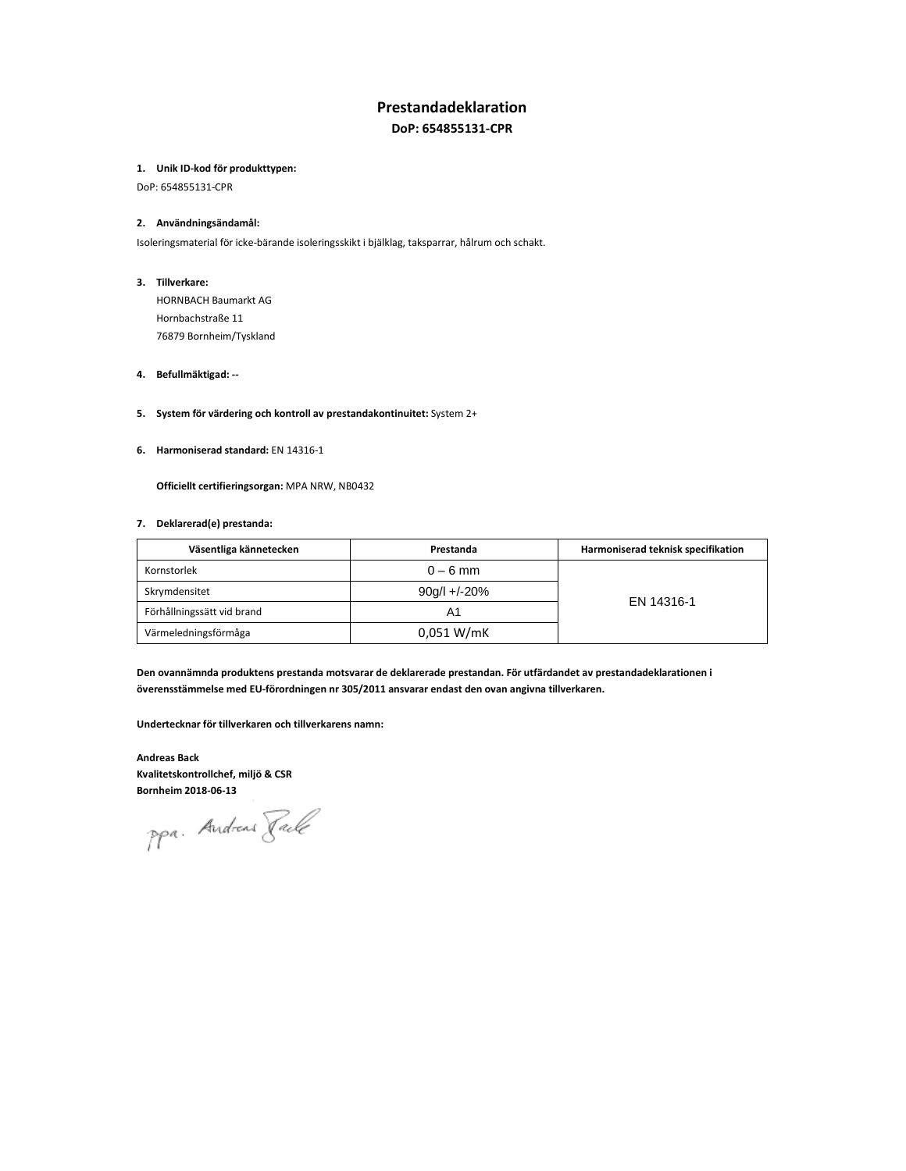# **Prestandadeklaration**

**DoP: 654855131-CPR**

# **1. Unik ID-kod för produkttypen:**

DoP: 654855131-CPR

#### **2. Användningsändamål:**

Isoleringsmaterial för icke-bärande isoleringsskikt i bjälklag, taksparrar, hålrum och schakt.

#### **3. Tillverkare:**

HORNBACH Baumarkt AG Hornbachstraße 11 76879 Bornheim/Tyskland

# **4. Befullmäktigad: --**

# **5. System för värdering och kontroll av prestandakontinuitet:** System 2+

**6. Harmoniserad standard:** EN 14316-1

**Officiellt certifieringsorgan:** MPA NRW, NB0432

### **7. Deklarerad(e) prestanda:**

| Väsentliga kännetecken     | Prestanda    | Harmoniserad teknisk specifikation |
|----------------------------|--------------|------------------------------------|
| Kornstorlek                | $0 - 6$ mm   |                                    |
| Skrymdensitet              | 90g/l +/-20% |                                    |
| Förhållningssätt vid brand | Α1           | EN 14316-1                         |
| Värmeledningsförmåga       | 0.051 W/mK   |                                    |

**Den ovannämnda produktens prestanda motsvarar de deklarerade prestandan. För utfärdandet av prestandadeklarationen i överensstämmelse med EU-förordningen nr 305/2011 ansvarar endast den ovan angivna tillverkaren.** 

**Undertecknar för tillverkaren och tillverkarens namn:** 

**Andreas Back Kvalitetskontrollchef, miljö & CSR Bornheim 2018-06-13** 

ppa. Andreas Rack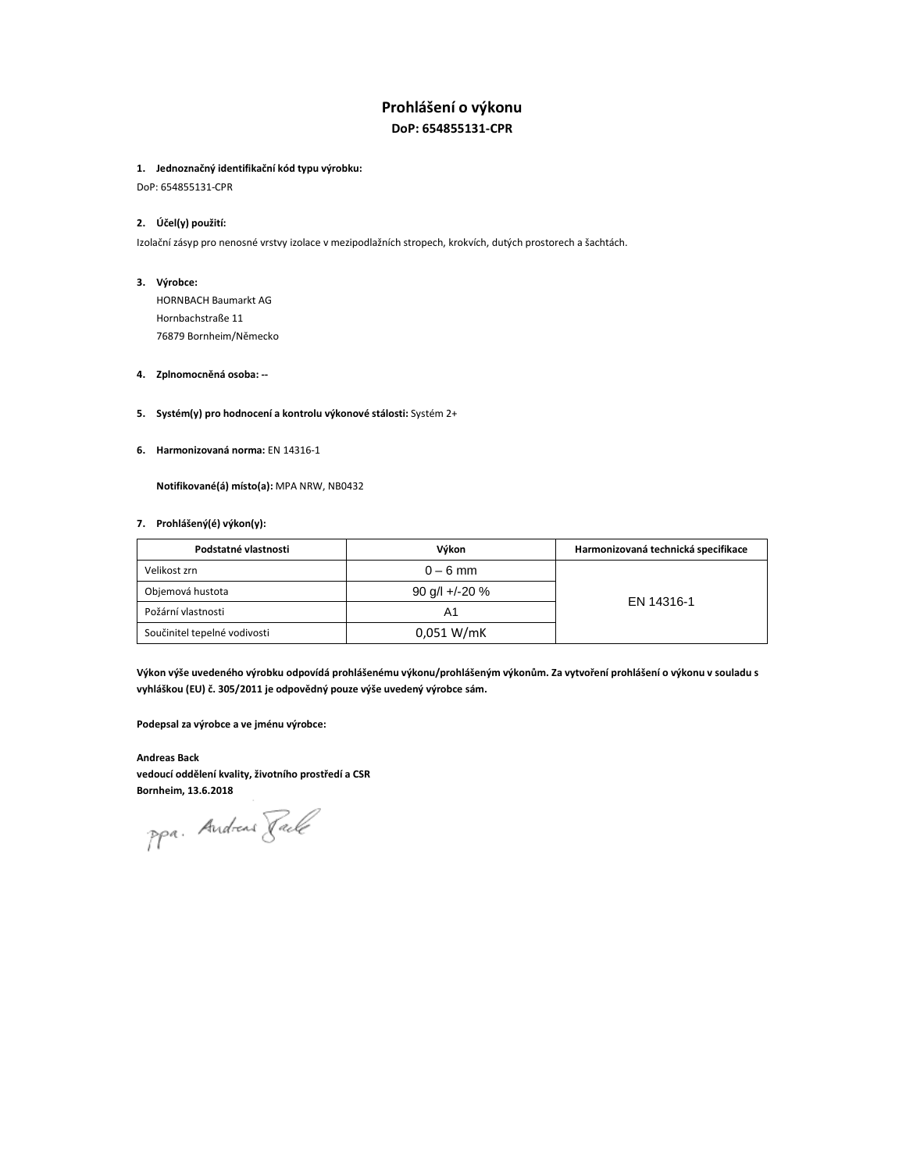# **Prohlášení o výkonu DoP: 654855131-CPR**

### **1. Jednoznačný identifikační kód typu výrobku:**

DoP: 654855131-CPR

# **2. Účel(y) použití:**

Izolační zásyp pro nenosné vrstvy izolace v mezipodlažních stropech, krokvích, dutých prostorech a šachtách.

#### **3. Výrobce:**

HORNBACH Baumarkt AG Hornbachstraße 11 76879 Bornheim/Německo

#### **4. Zplnomocněná osoba: --**

# **5. Systém(y) pro hodnocení a kontrolu výkonové stálosti:** Systém 2+

**6. Harmonizovaná norma:** EN 14316-1

# **Notifikované(á) místo(a):** MPA NRW, NB0432

# **7. Prohlášený(é) výkon(y):**

| Podstatné vlastnosti         | Výkon            | Harmonizovaná technická specifikace |
|------------------------------|------------------|-------------------------------------|
| Velikost zrn                 | $0 - 6$ mm       |                                     |
| Objemová hustota             | 90 g/l +/-20 $%$ |                                     |
| Požární vlastnosti           | Α1               | EN 14316-1                          |
| Součinitel tepelné vodivosti | 0.051 W/mK       |                                     |

**Výkon výše uvedeného výrobku odpovídá prohlášenému výkonu/prohlášeným výkonům. Za vytvoření prohlášení o výkonu v souladu s vyhláškou (EU) č. 305/2011 je odpovědný pouze výše uvedený výrobce sám.** 

**Podepsal za výrobce a ve jménu výrobce:** 

**Andreas Back vedoucí oddělení kvality, životního prostředí a CSR Bornheim, 13.6.2018** 

ppa. Andreas Rack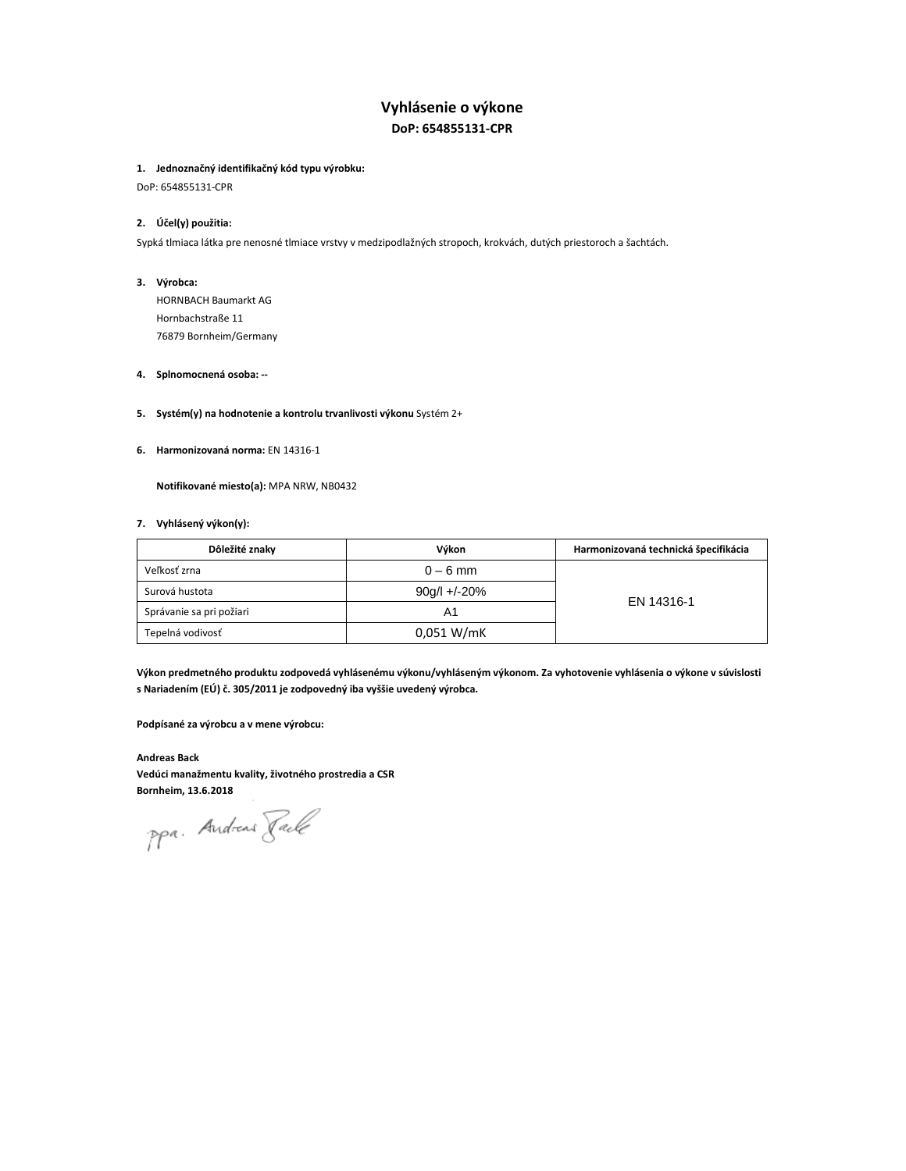# **Vyhlásenie o výkone DoP: 654855131-CPR**

### **1. Jednoznačný identifikačný kód typu výrobku:**

DoP: 654855131-CPR

# **2. Účel(y) použitia:**

Sypká tlmiaca látka pre nenosné tlmiace vrstvy v medzipodlažných stropoch, krokvách, dutých priestoroch a šachtách.

#### **3. Výrobca:**

HORNBACH Baumarkt AG Hornbachstraße 11 76879 Bornheim/Germany

#### **4. Splnomocnená osoba: --**

### **5. Systém(y) na hodnotenie a kontrolu trvanlivosti výkonu** Systém 2+

**6. Harmonizovaná norma:** EN 14316-1

**Notifikované miesto(a):** MPA NRW, NB0432

# **7. Vyhlásený výkon(y):**

| Dôležité znaky           | Výkon          | Harmonizovaná technická špecifikácia |
|--------------------------|----------------|--------------------------------------|
| Veľkosť zrna             | $0 - 6$ mm     |                                      |
| Surová hustota           | $90g/l +/-20%$ | EN 14316-1                           |
| Správanie sa pri požiari | A1             |                                      |
| Tepelná vodivosť         | 0.051 W/mK     |                                      |

**Výkon predmetného produktu zodpovedá vyhlásenému výkonu/vyhláseným výkonom. Za vyhotovenie vyhlásenia o výkone v súvislosti s Nariadením (EÚ) č. 305/2011 je zodpovedný iba vyššie uvedený výrobca.** 

**Podpísané za výrobcu a v mene výrobcu:** 

**Andreas Back Vedúci manažmentu kvality, životného prostredia a CSR Bornheim, 13.6.2018** 

ppa. Andreas Rack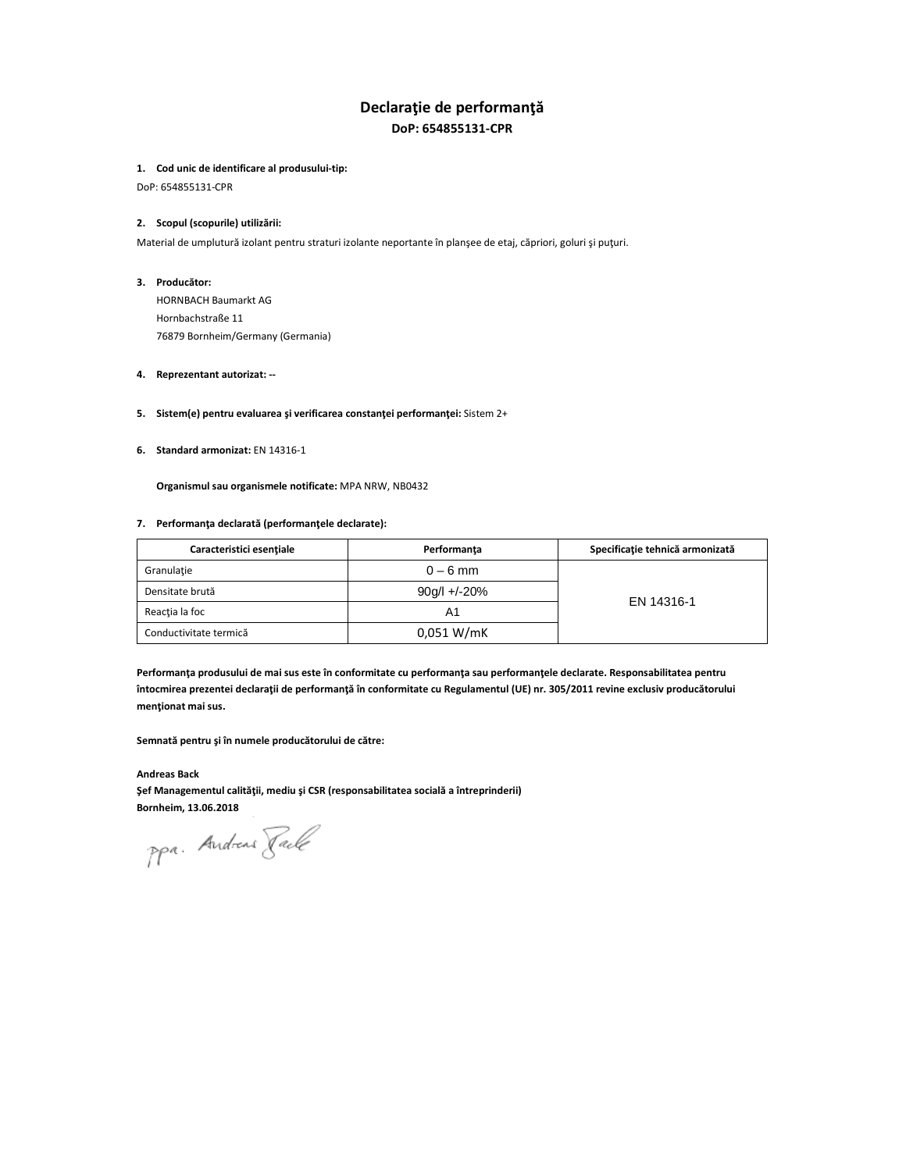# **Declaraţie de performanţă DoP: 654855131-CPR**

#### **1. Cod unic de identificare al produsului-tip:**

DoP: 654855131-CPR

#### **2. Scopul (scopurile) utilizării:**

Material de umplutură izolant pentru straturi izolante neportante în planşee de etaj, căpriori, goluri şi puţuri.

#### **3. Producător:**

HORNBACH Baumarkt AG Hornbachstraße 11 76879 Bornheim/Germany (Germania)

#### **4. Reprezentant autorizat: --**

#### **5. Sistem(e) pentru evaluarea şi verificarea constanţei performanţei:** Sistem 2+

# **6. Standard armonizat:** EN 14316-1

**Organismul sau organismele notificate:** MPA NRW, NB0432

#### **7. Performanţa declarată (performanţele declarate):**

| Caracteristici esentiale | Performanta    | Specificație tehnică armonizată |
|--------------------------|----------------|---------------------------------|
| Granulatie               | $0 - 6$ mm     |                                 |
| Densitate brută          | $90g/l +/-20%$ | EN 14316-1                      |
| Reactia la foc           | Α1             |                                 |
| Conductivitate termică   | 0.051 W/mK     |                                 |

**Performanţa produsului de mai sus este în conformitate cu performanţa sau performanţele declarate. Responsabilitatea pentru întocmirea prezentei declaraţii de performanţă în conformitate cu Regulamentul (UE) nr. 305/2011 revine exclusiv producătorului menţionat mai sus.** 

### **Semnată pentru şi în numele producătorului de către:**

**Andreas Back Şef Managementul calităţii, mediu şi CSR (responsabilitatea socială a întreprinderii) Bornheim, 13.06.2018** 

ppa. Andreas Rack